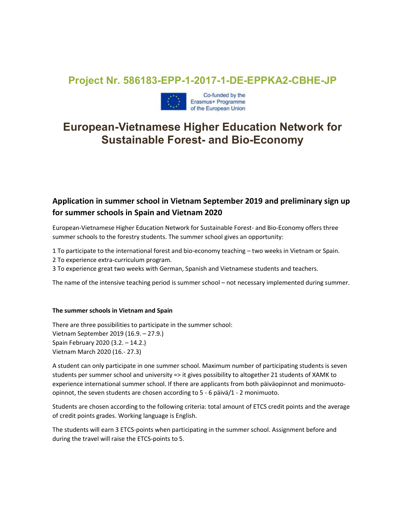## Project Nr. 586183-EPP-1-2017-1-DE-EPPKA2-CBHE-JP



# European-Vietnamese Higher Education Network for Sustainable Forest- and Bio-Economy

### Application in summer school in Vietnam September 2019 and preliminary sign up for summer schools in Spain and Vietnam 2020

European-Vietnamese Higher Education Network for Sustainable Forest- and Bio-Economy offers three summer schools to the forestry students. The summer school gives an opportunity:

- 1 To participate to the international forest and bio-economy teaching two weeks in Vietnam or Spain.
- 2 To experience extra-curriculum program.
- 3 To experience great two weeks with German, Spanish and Vietnamese students and teachers.

The name of the intensive teaching period is summer school – not necessary implemented during summer.

#### The summer schools in Vietnam and Spain

There are three possibilities to participate in the summer school: Vietnam September 2019 (16.9. – 27.9.) Spain February 2020 (3.2. – 14.2.) Vietnam March 2020 (16.- 27.3)

A student can only participate in one summer school. Maximum number of participating students is seven students per summer school and university => it gives possibility to altogether 21 students of XAMK to experience international summer school. If there are applicants from both päiväopinnot and monimuotoopinnot, the seven students are chosen according to 5 - 6 päivä/1 - 2 monimuoto.

Students are chosen according to the following criteria: total amount of ETCS credit points and the average of credit points grades. Working language is English.

The students will earn 3 ETCS-points when participating in the summer school. Assignment before and during the travel will raise the ETCS-points to 5.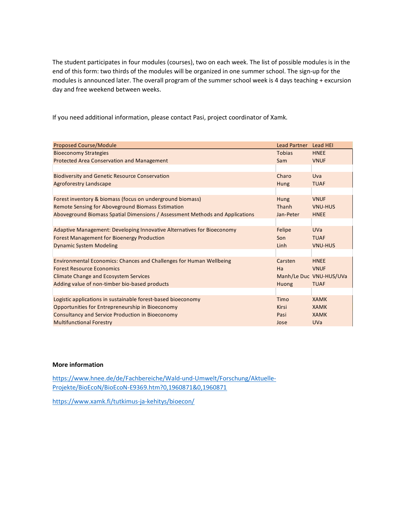| The student participates in four modules (courses), two on each week. The list of possible modules is in the<br>end of this form: two thirds of the modules will be organized in one summer school. The sign-up for the<br>modules is announced later. The overall program of the summer school week is 4 days teaching + excursion<br>day and free weekend between weeks.<br>If you need additional information, please contact Pasi, project coordinator of Xamk.<br><b>Proposed Course/Module</b><br><b>Lead Partner</b><br>Lead HEI<br><b>Bioeconomy Strategies</b><br><b>Tobias</b><br><b>HNEE</b><br>Protected Area Conservation and Management<br><b>VNUF</b><br>Sam<br><b>Biodiversity and Genetic Resource Conservation</b><br>Charo<br>Uva<br><b>Agroforestry Landscape</b><br><b>TUAF</b><br>Hung<br>Forest inventory & biomass (focus on underground biomass)<br><b>VNUF</b><br>Hung<br>Remote Sensing for Aboveground Biomass Estimation<br>VNU-HUS<br>Thanh |
|---------------------------------------------------------------------------------------------------------------------------------------------------------------------------------------------------------------------------------------------------------------------------------------------------------------------------------------------------------------------------------------------------------------------------------------------------------------------------------------------------------------------------------------------------------------------------------------------------------------------------------------------------------------------------------------------------------------------------------------------------------------------------------------------------------------------------------------------------------------------------------------------------------------------------------------------------------------------------|
|                                                                                                                                                                                                                                                                                                                                                                                                                                                                                                                                                                                                                                                                                                                                                                                                                                                                                                                                                                           |
|                                                                                                                                                                                                                                                                                                                                                                                                                                                                                                                                                                                                                                                                                                                                                                                                                                                                                                                                                                           |
|                                                                                                                                                                                                                                                                                                                                                                                                                                                                                                                                                                                                                                                                                                                                                                                                                                                                                                                                                                           |
|                                                                                                                                                                                                                                                                                                                                                                                                                                                                                                                                                                                                                                                                                                                                                                                                                                                                                                                                                                           |
|                                                                                                                                                                                                                                                                                                                                                                                                                                                                                                                                                                                                                                                                                                                                                                                                                                                                                                                                                                           |
|                                                                                                                                                                                                                                                                                                                                                                                                                                                                                                                                                                                                                                                                                                                                                                                                                                                                                                                                                                           |
|                                                                                                                                                                                                                                                                                                                                                                                                                                                                                                                                                                                                                                                                                                                                                                                                                                                                                                                                                                           |
|                                                                                                                                                                                                                                                                                                                                                                                                                                                                                                                                                                                                                                                                                                                                                                                                                                                                                                                                                                           |
|                                                                                                                                                                                                                                                                                                                                                                                                                                                                                                                                                                                                                                                                                                                                                                                                                                                                                                                                                                           |
|                                                                                                                                                                                                                                                                                                                                                                                                                                                                                                                                                                                                                                                                                                                                                                                                                                                                                                                                                                           |
|                                                                                                                                                                                                                                                                                                                                                                                                                                                                                                                                                                                                                                                                                                                                                                                                                                                                                                                                                                           |
|                                                                                                                                                                                                                                                                                                                                                                                                                                                                                                                                                                                                                                                                                                                                                                                                                                                                                                                                                                           |
|                                                                                                                                                                                                                                                                                                                                                                                                                                                                                                                                                                                                                                                                                                                                                                                                                                                                                                                                                                           |
|                                                                                                                                                                                                                                                                                                                                                                                                                                                                                                                                                                                                                                                                                                                                                                                                                                                                                                                                                                           |
|                                                                                                                                                                                                                                                                                                                                                                                                                                                                                                                                                                                                                                                                                                                                                                                                                                                                                                                                                                           |
|                                                                                                                                                                                                                                                                                                                                                                                                                                                                                                                                                                                                                                                                                                                                                                                                                                                                                                                                                                           |
|                                                                                                                                                                                                                                                                                                                                                                                                                                                                                                                                                                                                                                                                                                                                                                                                                                                                                                                                                                           |
|                                                                                                                                                                                                                                                                                                                                                                                                                                                                                                                                                                                                                                                                                                                                                                                                                                                                                                                                                                           |
| Aboveground Biomass Spatial Dimensions / Assessment Methods and Applications<br>Jan-Peter<br><b>HNEE</b>                                                                                                                                                                                                                                                                                                                                                                                                                                                                                                                                                                                                                                                                                                                                                                                                                                                                  |
| Adaptive Management: Developing Innovative Alternatives for Bioeconomy<br><b>UVa</b><br>Felipe                                                                                                                                                                                                                                                                                                                                                                                                                                                                                                                                                                                                                                                                                                                                                                                                                                                                            |
| <b>Forest Management for Bioenergy Production</b><br><b>TUAF</b><br>Son                                                                                                                                                                                                                                                                                                                                                                                                                                                                                                                                                                                                                                                                                                                                                                                                                                                                                                   |
| <b>Dynamic System Modeling</b><br><b>VNU-HUS</b><br>Linh                                                                                                                                                                                                                                                                                                                                                                                                                                                                                                                                                                                                                                                                                                                                                                                                                                                                                                                  |
| Environmental Economics: Chances and Challenges for Human Wellbeing<br><b>HNEE</b><br>Carsten                                                                                                                                                                                                                                                                                                                                                                                                                                                                                                                                                                                                                                                                                                                                                                                                                                                                             |
| <b>Forest Resource Economics</b><br><b>VNUF</b><br>Ha                                                                                                                                                                                                                                                                                                                                                                                                                                                                                                                                                                                                                                                                                                                                                                                                                                                                                                                     |
| Manh/Le Duc VNU-HUS/UVa<br><b>Climate Change and Ecosystem Services</b>                                                                                                                                                                                                                                                                                                                                                                                                                                                                                                                                                                                                                                                                                                                                                                                                                                                                                                   |
| Adding value of non-timber bio-based products<br><b>TUAF</b><br>Huong                                                                                                                                                                                                                                                                                                                                                                                                                                                                                                                                                                                                                                                                                                                                                                                                                                                                                                     |
| Logistic applications in sustainable forest-based bioeconomy<br><b>XAMK</b><br>Timo                                                                                                                                                                                                                                                                                                                                                                                                                                                                                                                                                                                                                                                                                                                                                                                                                                                                                       |
| Opportunities for Entrepreneurship in Bioeconomy<br>Kirsi<br><b>XAMK</b>                                                                                                                                                                                                                                                                                                                                                                                                                                                                                                                                                                                                                                                                                                                                                                                                                                                                                                  |
| Consultancy and Service Production in Bioeconomy<br>Pasi<br><b>XAMK</b>                                                                                                                                                                                                                                                                                                                                                                                                                                                                                                                                                                                                                                                                                                                                                                                                                                                                                                   |
| <b>Multifunctional Forestry</b><br><b>UVa</b><br>Jose                                                                                                                                                                                                                                                                                                                                                                                                                                                                                                                                                                                                                                                                                                                                                                                                                                                                                                                     |
|                                                                                                                                                                                                                                                                                                                                                                                                                                                                                                                                                                                                                                                                                                                                                                                                                                                                                                                                                                           |

#### More information

https://www.hnee.de/de/Fachbereiche/Wald-und-Umwelt/Forschung/Aktuelle-Projekte/BioEcoN/BioEcoN-E9369.htm?0,1960871&0,1960871

https://www.xamk.fi/tutkimus-ja-kehitys/bioecon/